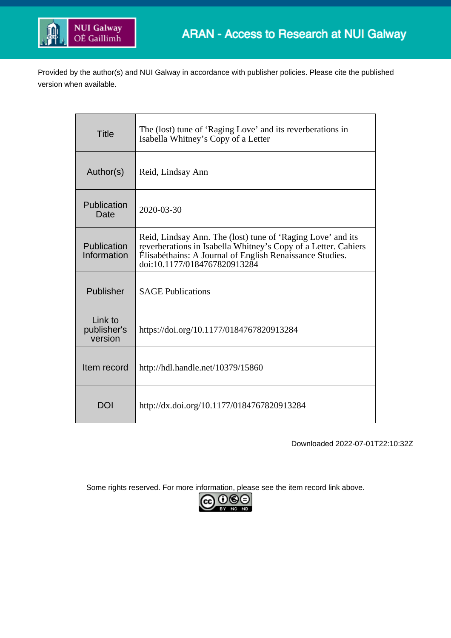

Provided by the author(s) and NUI Galway in accordance with publisher policies. Please cite the published version when available.

| <b>Title</b>                      | The (lost) tune of 'Raging Love' and its reverberations in<br>Isabella Whitney's Copy of a Letter                                                                                                                         |
|-----------------------------------|---------------------------------------------------------------------------------------------------------------------------------------------------------------------------------------------------------------------------|
| Author(s)                         | Reid, Lindsay Ann                                                                                                                                                                                                         |
| Publication<br>Date               | 2020-03-30                                                                                                                                                                                                                |
| Publication<br>Information        | Reid, Lindsay Ann. The (lost) tune of 'Raging Love' and its<br>reverberations in Isabella Whitney's Copy of a Letter. Cahiers<br>Élisabéthains: A Journal of English Renaissance Studies.<br>doi:10.1177/0184767820913284 |
| Publisher                         | <b>SAGE Publications</b>                                                                                                                                                                                                  |
| Link to<br>publisher's<br>version | https://doi.org/10.1177/0184767820913284                                                                                                                                                                                  |
| Item record                       | http://hdl.handle.net/10379/15860                                                                                                                                                                                         |
| DOI                               | http://dx.doi.org/10.1177/0184767820913284                                                                                                                                                                                |

Downloaded 2022-07-01T22:10:32Z

Some rights reserved. For more information, please see the item record link above.

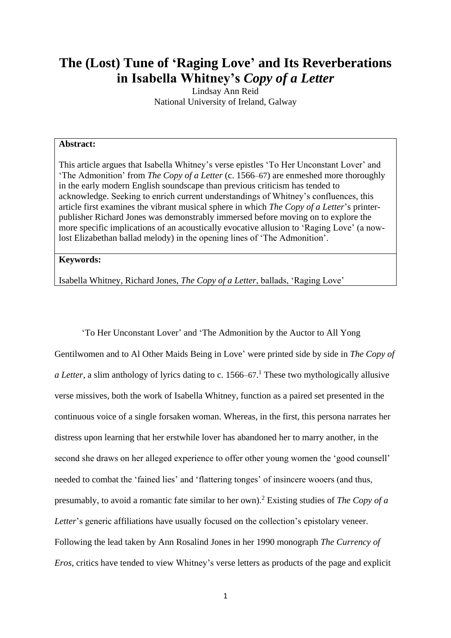# **The (Lost) Tune of 'Raging Love' and Its Reverberations in Isabella Whitney's** *Copy of a Letter*

Lindsay Ann Reid National University of Ireland, Galway

## **Abstract:**

This article argues that Isabella Whitney's verse epistles 'To Her Unconstant Lover' and 'The Admonition' from *The Copy of a Letter* (c. 1566–67) are enmeshed more thoroughly in the early modern English soundscape than previous criticism has tended to acknowledge. Seeking to enrich current understandings of Whitney's confluences, this article first examines the vibrant musical sphere in which *The Copy of a Letter*'s printerpublisher Richard Jones was demonstrably immersed before moving on to explore the more specific implications of an acoustically evocative allusion to 'Raging Love' (a nowlost Elizabethan ballad melody) in the opening lines of 'The Admonition'.

#### **Keywords:**

Isabella Whitney, Richard Jones, *The Copy of a Letter*, ballads, 'Raging Love'

'To Her Unconstant Lover' and 'The Admonition by the Auctor to All Yong Gentilwomen and to Al Other Maids Being in Love' were printed side by side in *The Copy of a Letter*, a slim anthology of lyrics dating to c. 1566–67. <sup>1</sup> These two mythologically allusive verse missives, both the work of Isabella Whitney, function as a paired set presented in the continuous voice of a single forsaken woman. Whereas, in the first, this persona narrates her distress upon learning that her erstwhile lover has abandoned her to marry another, in the second she draws on her alleged experience to offer other young women the 'good counsell' needed to combat the 'fained lies' and 'flattering tonges' of insincere wooers (and thus, presumably, to avoid a romantic fate similar to her own).<sup>2</sup> Existing studies of *The Copy of a Letter*'s generic affiliations have usually focused on the collection's epistolary veneer. Following the lead taken by Ann Rosalind Jones in her 1990 monograph *The Currency of Eros*, critics have tended to view Whitney's verse letters as products of the page and explicit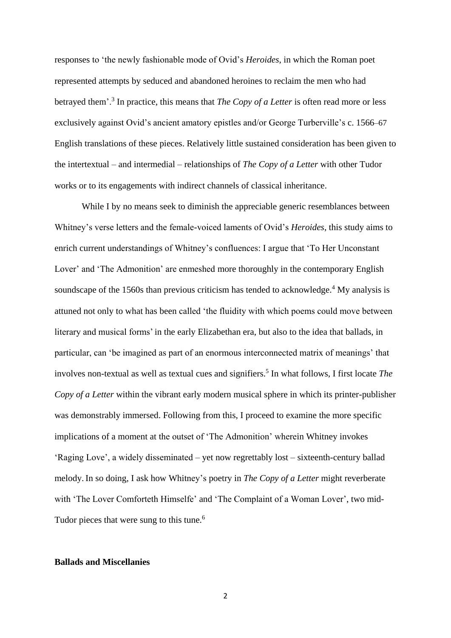responses to 'the newly fashionable mode of Ovid's *Heroides*, in which the Roman poet represented attempts by seduced and abandoned heroines to reclaim the men who had betrayed them'.<sup>3</sup> In practice, this means that *The Copy of a Letter* is often read more or less exclusively against Ovid's ancient amatory epistles and/or George Turberville's c. 1566–67 English translations of these pieces. Relatively little sustained consideration has been given to the intertextual – and intermedial – relationships of *The Copy of a Letter* with other Tudor works or to its engagements with indirect channels of classical inheritance.

While I by no means seek to diminish the appreciable generic resemblances between Whitney's verse letters and the female-voiced laments of Ovid's *Heroides*, this study aims to enrich current understandings of Whitney's confluences: I argue that 'To Her Unconstant Lover' and 'The Admonition' are enmeshed more thoroughly in the contemporary English soundscape of the 1560s than previous criticism has tended to acknowledge.<sup>4</sup> My analysis is attuned not only to what has been called 'the fluidity with which poems could move between literary and musical forms' in the early Elizabethan era, but also to the idea that ballads, in particular, can 'be imagined as part of an enormous interconnected matrix of meanings' that involves non-textual as well as textual cues and signifiers.<sup>5</sup> In what follows, I first locate *The Copy of a Letter* within the vibrant early modern musical sphere in which its printer-publisher was demonstrably immersed. Following from this, I proceed to examine the more specific implications of a moment at the outset of 'The Admonition' wherein Whitney invokes 'Raging Love', a widely disseminated – yet now regrettably lost – sixteenth-century ballad melody. In so doing, I ask how Whitney's poetry in *The Copy of a Letter* might reverberate with 'The Lover Comforteth Himselfe' and 'The Complaint of a Woman Lover', two mid-Tudor pieces that were sung to this tune.<sup>6</sup>

## **Ballads and Miscellanies**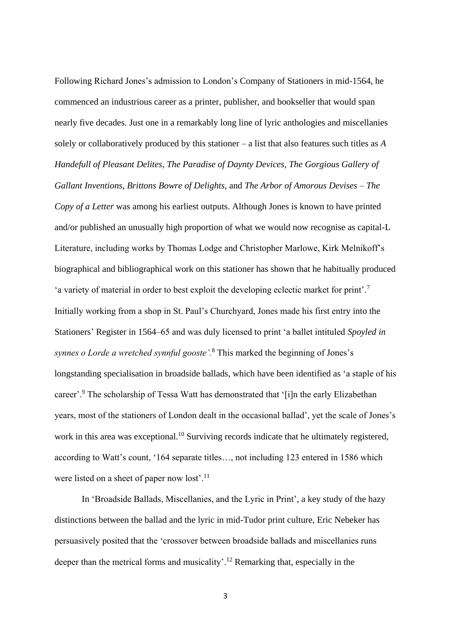Following Richard Jones's admission to London's Company of Stationers in mid-1564, he commenced an industrious career as a printer, publisher, and bookseller that would span nearly five decades. Just one in a remarkably long line of lyric anthologies and miscellanies solely or collaboratively produced by this stationer – a list that also features such titles as *A Handefull of Pleasant Delites*, *The Paradise of Daynty Devices*, *The Gorgious Gallery of Gallant Inventions*, *Brittons Bowre of Delights*, and *The Arbor of Amorous Devises* – *The Copy of a Letter* was among his earliest outputs. Although Jones is known to have printed and/or published an unusually high proportion of what we would now recognise as capital-L Literature, including works by Thomas Lodge and Christopher Marlowe, Kirk Melnikoff's biographical and bibliographical work on this stationer has shown that he habitually produced 'a variety of material in order to best exploit the developing eclectic market for print'.<sup>7</sup> Initially working from a shop in St. Paul's Churchyard, Jones made his first entry into the Stationers' Register in 1564–65 and was duly licensed to print 'a ballet intituled *Spoyled in synnes o Lorde a wretched synnful gooste'.*<sup>8</sup> This marked the beginning of Jones's longstanding specialisation in broadside ballads, which have been identified as 'a staple of his career'.<sup>9</sup> The scholarship of Tessa Watt has demonstrated that '[i]n the early Elizabethan years, most of the stationers of London dealt in the occasional ballad', yet the scale of Jones's work in this area was exceptional.<sup>10</sup> Surviving records indicate that he ultimately registered, according to Watt's count, '164 separate titles…, not including 123 entered in 1586 which were listed on a sheet of paper now lost'.<sup>11</sup>

In 'Broadside Ballads, Miscellanies, and the Lyric in Print', a key study of the hazy distinctions between the ballad and the lyric in mid-Tudor print culture, Eric Nebeker has persuasively posited that the 'crossover between broadside ballads and miscellanies runs deeper than the metrical forms and musicality'.<sup>12</sup> Remarking that, especially in the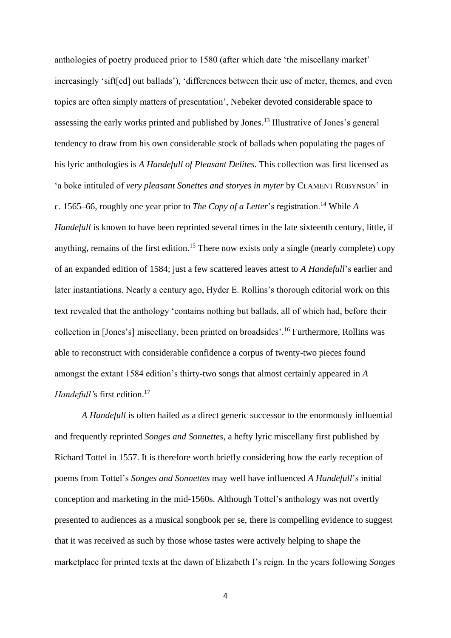anthologies of poetry produced prior to 1580 (after which date 'the miscellany market' increasingly 'sift[ed] out ballads'), 'differences between their use of meter, themes, and even topics are often simply matters of presentation', Nebeker devoted considerable space to assessing the early works printed and published by Jones.<sup>13</sup> Illustrative of Jones's general tendency to draw from his own considerable stock of ballads when populating the pages of his lyric anthologies is *A Handefull of Pleasant Delites*. This collection was first licensed as 'a boke intituled of *very pleasant Sonettes and storyes in myter* by CLAMENT ROBYNSON' in c. 1565–66, roughly one year prior to *The Copy of a Letter*'s registration.<sup>14</sup> While *A Handefull* is known to have been reprinted several times in the late sixteenth century, little, if anything, remains of the first edition.<sup>15</sup> There now exists only a single (nearly complete) copy of an expanded edition of 1584; just a few scattered leaves attest to *A Handefull*'s earlier and later instantiations. Nearly a century ago, Hyder E. Rollins's thorough editorial work on this text revealed that the anthology 'contains nothing but ballads, all of which had, before their collection in [Jones's] miscellany, been printed on broadsides'.<sup>16</sup> Furthermore, Rollins was able to reconstruct with considerable confidence a corpus of twenty-two pieces found amongst the extant 1584 edition's thirty-two songs that almost certainly appeared in *A Handefull's* first edition.<sup>17</sup>

*A Handefull* is often hailed as a direct generic successor to the enormously influential and frequently reprinted *Songes and Sonnettes*, a hefty lyric miscellany first published by Richard Tottel in 1557. It is therefore worth briefly considering how the early reception of poems from Tottel's *Songes and Sonnettes* may well have influenced *A Handefull*'s initial conception and marketing in the mid-1560s. Although Tottel's anthology was not overtly presented to audiences as a musical songbook per se, there is compelling evidence to suggest that it was received as such by those whose tastes were actively helping to shape the marketplace for printed texts at the dawn of Elizabeth I's reign. In the years following *Songes*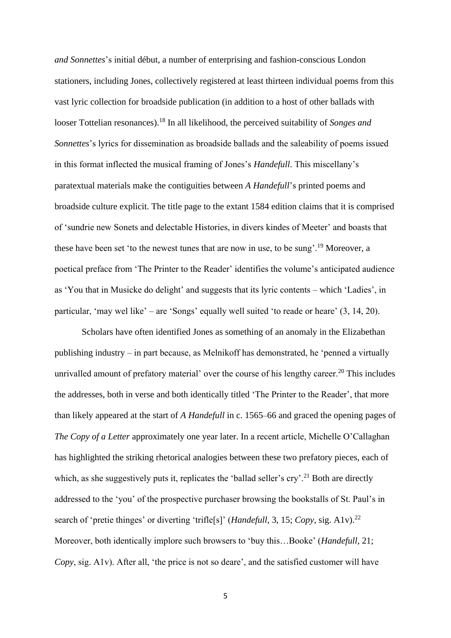*and Sonnettes*'s initial début, a number of enterprising and fashion-conscious London stationers, including Jones, collectively registered at least thirteen individual poems from this vast lyric collection for broadside publication (in addition to a host of other ballads with looser Tottelian resonances).<sup>18</sup> In all likelihood, the perceived suitability of *Songes and Sonnettes*'s lyrics for dissemination as broadside ballads and the saleability of poems issued in this format inflected the musical framing of Jones's *Handefull*. This miscellany's paratextual materials make the contiguities between *A Handefull*'s printed poems and broadside culture explicit. The title page to the extant 1584 edition claims that it is comprised of 'sundrie new Sonets and delectable Histories, in divers kindes of Meeter' and boasts that these have been set 'to the newest tunes that are now in use, to be sung'.<sup>19</sup> Moreover, a poetical preface from 'The Printer to the Reader' identifies the volume's anticipated audience as 'You that in Musicke do delight' and suggests that its lyric contents – which 'Ladies', in particular, 'may wel like' – are 'Songs' equally well suited 'to reade or heare' (3, 14, 20).

Scholars have often identified Jones as something of an anomaly in the Elizabethan publishing industry – in part because, as Melnikoff has demonstrated, he 'penned a virtually unrivalled amount of prefatory material' over the course of his lengthy career.<sup>20</sup> This includes the addresses, both in verse and both identically titled 'The Printer to the Reader', that more than likely appeared at the start of *A Handefull* in c. 1565–66 and graced the opening pages of *The Copy of a Letter* approximately one year later. In a recent article, Michelle O'Callaghan has highlighted the striking rhetorical analogies between these two prefatory pieces, each of which, as she suggestively puts it, replicates the 'ballad seller's  $\text{cry}$ '.<sup>21</sup> Both are directly addressed to the 'you' of the prospective purchaser browsing the bookstalls of St. Paul's in search of 'pretie thinges' or diverting 'trifle[s]' (*Handefull*, 3, 15; *Copy*, sig. A1v).<sup>22</sup> Moreover, both identically implore such browsers to 'buy this…Booke' (*Handefull,* 21; *Copy*, sig. A1v). After all, 'the price is not so deare', and the satisfied customer will have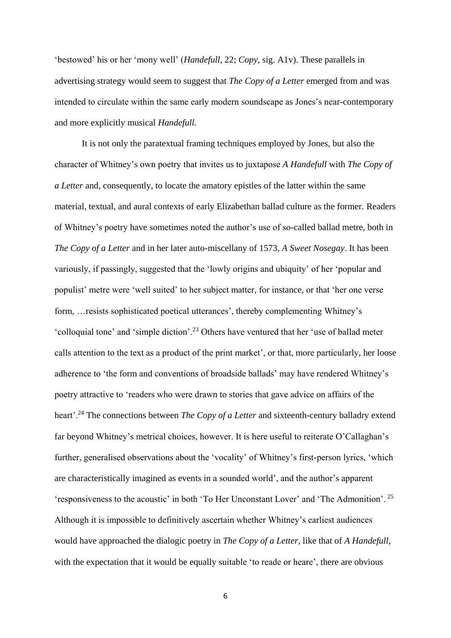'bestowed' his or her 'mony well' (*Handefull,* 22; *Copy*, sig. A1v). These parallels in advertising strategy would seem to suggest that *The Copy of a Letter* emerged from and was intended to circulate within the same early modern soundscape as Jones's near-contemporary and more explicitly musical *Handefull.*

It is not only the paratextual framing techniques employed by Jones, but also the character of Whitney's own poetry that invites us to juxtapose *A Handefull* with *The Copy of a Letter* and, consequently, to locate the amatory epistles of the latter within the same material, textual, and aural contexts of early Elizabethan ballad culture as the former. Readers of Whitney's poetry have sometimes noted the author's use of so-called ballad metre, both in *The Copy of a Letter* and in her later auto-miscellany of 1573, *A Sweet Nosegay*. It has been variously, if passingly, suggested that the 'lowly origins and ubiquity' of her 'popular and populist' metre were 'well suited' to her subject matter, for instance, or that 'her one verse form, …resists sophisticated poetical utterances', thereby complementing Whitney's 'colloquial tone' and 'simple diction'.<sup>23</sup> Others have ventured that her 'use of ballad meter calls attention to the text as a product of the print market', or that, more particularly, her loose adherence to 'the form and conventions of broadside ballads' may have rendered Whitney's poetry attractive to 'readers who were drawn to stories that gave advice on affairs of the heart'.<sup>24</sup> The connections between *The Copy of a Letter* and sixteenth-century balladry extend far beyond Whitney's metrical choices, however. It is here useful to reiterate O'Callaghan's further, generalised observations about the 'vocality' of Whitney's first-person lyrics, 'which are characteristically imagined as events in a sounded world', and the author's apparent 'responsiveness to the acoustic' in both 'To Her Unconstant Lover' and 'The Admonition'. <sup>25</sup> Although it is impossible to definitively ascertain whether Whitney's earliest audiences would have approached the dialogic poetry in *The Copy of a Letter*, like that of *A Handefull,*  with the expectation that it would be equally suitable 'to reade or heare', there are obvious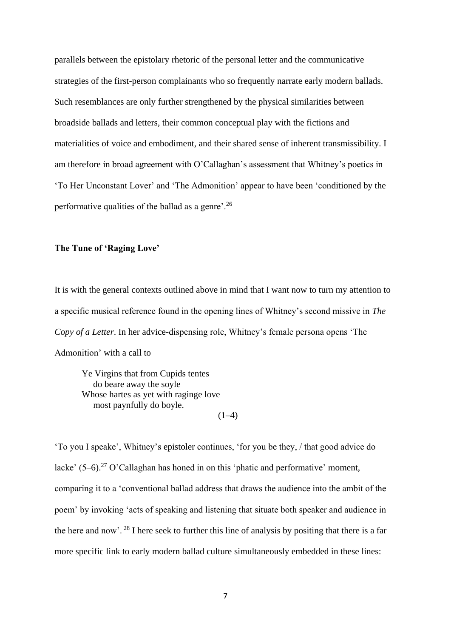parallels between the epistolary rhetoric of the personal letter and the communicative strategies of the first-person complainants who so frequently narrate early modern ballads. Such resemblances are only further strengthened by the physical similarities between broadside ballads and letters, their common conceptual play with the fictions and materialities of voice and embodiment, and their shared sense of inherent transmissibility. I am therefore in broad agreement with O'Callaghan's assessment that Whitney's poetics in 'To Her Unconstant Lover' and 'The Admonition' appear to have been 'conditioned by the performative qualities of the ballad as a genre'.<sup>26</sup>

# **The Tune of 'Raging Love'**

It is with the general contexts outlined above in mind that I want now to turn my attention to a specific musical reference found in the opening lines of Whitney's second missive in *The Copy of a Letter*. In her advice-dispensing role, Whitney's female persona opens 'The Admonition' with a call to

Ye Virgins that from Cupids tentes do beare away the soyle Whose hartes as yet with raginge love most paynfully do boyle.

#### $(1-4)$

'To you I speake', Whitney's epistoler continues, 'for you be they, / that good advice do lacke'  $(5-6)$ .<sup>27</sup> O'Callaghan has honed in on this 'phatic and performative' moment, comparing it to a 'conventional ballad address that draws the audience into the ambit of the poem' by invoking 'acts of speaking and listening that situate both speaker and audience in the here and now'. <sup>28</sup> I here seek to further this line of analysis by positing that there is a far more specific link to early modern ballad culture simultaneously embedded in these lines: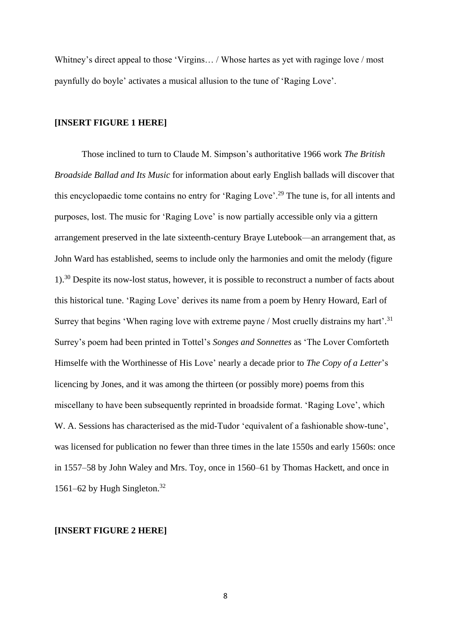Whitney's direct appeal to those 'Virgins... / Whose hartes as yet with raginge love / most paynfully do boyle' activates a musical allusion to the tune of 'Raging Love'.

# **[INSERT FIGURE 1 HERE]**

Those inclined to turn to Claude M. Simpson's authoritative 1966 work *The British Broadside Ballad and Its Music* for information about early English ballads will discover that this encyclopaedic tome contains no entry for 'Raging Love'.<sup>29</sup> The tune is, for all intents and purposes, lost. The music for 'Raging Love' is now partially accessible only via a gittern arrangement preserved in the late sixteenth-century Braye Lutebook—an arrangement that, as John Ward has established, seems to include only the harmonies and omit the melody (figure 1).<sup>30</sup> Despite its now-lost status, however, it is possible to reconstruct a number of facts about this historical tune. 'Raging Love' derives its name from a poem by Henry Howard, Earl of Surrey that begins 'When raging love with extreme payne / Most cruelly distrains my hart'.<sup>31</sup> Surrey's poem had been printed in Tottel's *Songes and Sonnettes* as 'The Lover Comforteth Himselfe with the Worthinesse of His Love' nearly a decade prior to *The Copy of a Letter*'s licencing by Jones, and it was among the thirteen (or possibly more) poems from this miscellany to have been subsequently reprinted in broadside format. 'Raging Love', which W. A. Sessions has characterised as the mid-Tudor 'equivalent of a fashionable show-tune', was licensed for publication no fewer than three times in the late 1550s and early 1560s: once in 1557–58 by John Waley and Mrs. Toy, once in 1560–61 by Thomas Hackett, and once in 1561–62 by Hugh Singleton.<sup>32</sup>

## **[INSERT FIGURE 2 HERE]**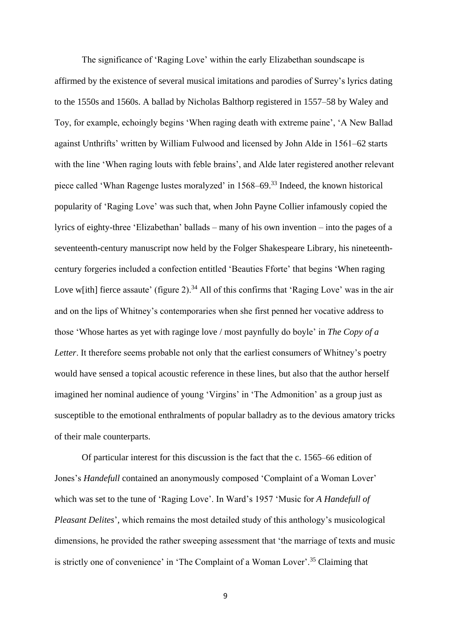The significance of 'Raging Love' within the early Elizabethan soundscape is affirmed by the existence of several musical imitations and parodies of Surrey's lyrics dating to the 1550s and 1560s. A ballad by Nicholas Balthorp registered in 1557–58 by Waley and Toy, for example, echoingly begins 'When raging death with extreme paine', 'A New Ballad against Unthrifts' written by William Fulwood and licensed by John Alde in 1561–62 starts with the line 'When raging louts with feble brains', and Alde later registered another relevant piece called 'Whan Ragenge lustes moralyzed' in 1568–69.<sup>33</sup> Indeed, the known historical popularity of 'Raging Love' was such that, when John Payne Collier infamously copied the lyrics of eighty-three 'Elizabethan' ballads – many of his own invention – into the pages of a seventeenth-century manuscript now held by the Folger Shakespeare Library, his nineteenthcentury forgeries included a confection entitled 'Beauties Fforte' that begins 'When raging Love w[ith] fierce assaute' (figure 2).<sup>34</sup> All of this confirms that 'Raging Love' was in the air and on the lips of Whitney's contemporaries when she first penned her vocative address to those 'Whose hartes as yet with raginge love / most paynfully do boyle' in *The Copy of a Letter*. It therefore seems probable not only that the earliest consumers of Whitney's poetry would have sensed a topical acoustic reference in these lines, but also that the author herself imagined her nominal audience of young 'Virgins' in 'The Admonition' as a group just as susceptible to the emotional enthralments of popular balladry as to the devious amatory tricks of their male counterparts.

Of particular interest for this discussion is the fact that the c. 1565–66 edition of Jones's *Handefull* contained an anonymously composed 'Complaint of a Woman Lover' which was set to the tune of 'Raging Love'. In Ward's 1957 'Music for *A Handefull of Pleasant Delites*'*,* which remains the most detailed study of this anthology's musicological dimensions, he provided the rather sweeping assessment that 'the marriage of texts and music is strictly one of convenience' in 'The Complaint of a Woman Lover'.<sup>35</sup> Claiming that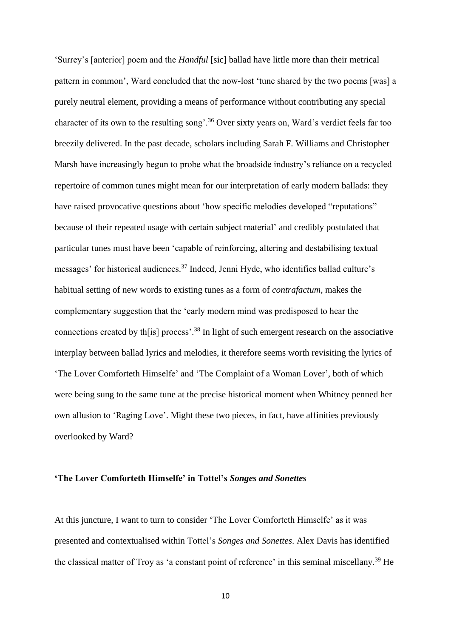'Surrey's [anterior] poem and the *Handful* [sic] ballad have little more than their metrical pattern in common', Ward concluded that the now-lost 'tune shared by the two poems [was] a purely neutral element, providing a means of performance without contributing any special character of its own to the resulting song'.<sup>36</sup> Over sixty years on, Ward's verdict feels far too breezily delivered. In the past decade, scholars including Sarah F. Williams and Christopher Marsh have increasingly begun to probe what the broadside industry's reliance on a recycled repertoire of common tunes might mean for our interpretation of early modern ballads: they have raised provocative questions about 'how specific melodies developed "reputations" because of their repeated usage with certain subject material' and credibly postulated that particular tunes must have been 'capable of reinforcing, altering and destabilising textual messages' for historical audiences.<sup>37</sup> Indeed, Jenni Hyde, who identifies ballad culture's habitual setting of new words to existing tunes as a form of *contrafactum*, makes the complementary suggestion that the 'early modern mind was predisposed to hear the connections created by th[is] process'.<sup>38</sup> In light of such emergent research on the associative interplay between ballad lyrics and melodies, it therefore seems worth revisiting the lyrics of 'The Lover Comforteth Himselfe' and 'The Complaint of a Woman Lover', both of which were being sung to the same tune at the precise historical moment when Whitney penned her own allusion to 'Raging Love'. Might these two pieces, in fact, have affinities previously overlooked by Ward?

# **'The Lover Comforteth Himselfe' in Tottel's** *Songes and Sonettes*

At this juncture, I want to turn to consider 'The Lover Comforteth Himselfe' as it was presented and contextualised within Tottel's *Songes and Sonettes*. Alex Davis has identified the classical matter of Troy as 'a constant point of reference' in this seminal miscellany.<sup>39</sup> He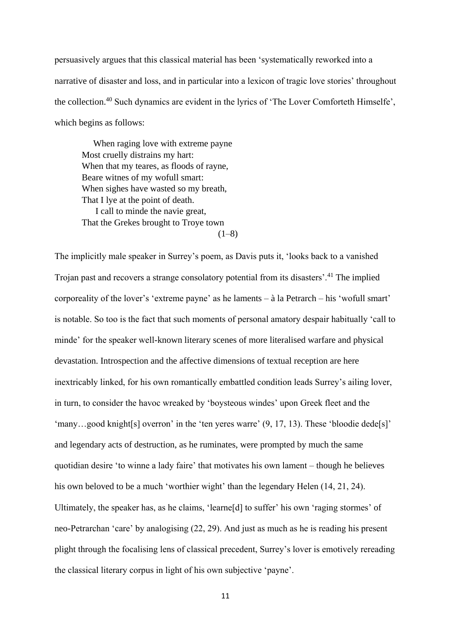persuasively argues that this classical material has been 'systematically reworked into a narrative of disaster and loss, and in particular into a lexicon of tragic love stories' throughout the collection.<sup>40</sup> Such dynamics are evident in the lyrics of 'The Lover Comforteth Himselfe', which begins as follows:

 When raging love with extreme payne Most cruelly distrains my hart: When that my teares, as floods of rayne, Beare witnes of my wofull smart: When sighes have wasted so my breath, That I lye at the point of death. I call to minde the navie great, That the Grekes brought to Troye town  $(1-8)$ 

The implicitly male speaker in Surrey's poem, as Davis puts it, 'looks back to a vanished Trojan past and recovers a strange consolatory potential from its disasters'.<sup>41</sup> The implied corporeality of the lover's 'extreme payne' as he laments – à la Petrarch – his 'wofull smart' is notable. So too is the fact that such moments of personal amatory despair habitually 'call to minde' for the speaker well-known literary scenes of more literalised warfare and physical devastation. Introspection and the affective dimensions of textual reception are here inextricably linked, for his own romantically embattled condition leads Surrey's ailing lover, in turn, to consider the havoc wreaked by 'boysteous windes' upon Greek fleet and the 'many…good knight[s] overron' in the 'ten yeres warre' (9, 17, 13). These 'bloodie dede[s]' and legendary acts of destruction, as he ruminates, were prompted by much the same quotidian desire 'to winne a lady faire' that motivates his own lament – though he believes his own beloved to be a much 'worthier wight' than the legendary Helen (14, 21, 24). Ultimately, the speaker has, as he claims, 'learne[d] to suffer' his own 'raging stormes' of neo-Petrarchan 'care' by analogising (22, 29). And just as much as he is reading his present plight through the focalising lens of classical precedent, Surrey's lover is emotively rereading the classical literary corpus in light of his own subjective 'payne'.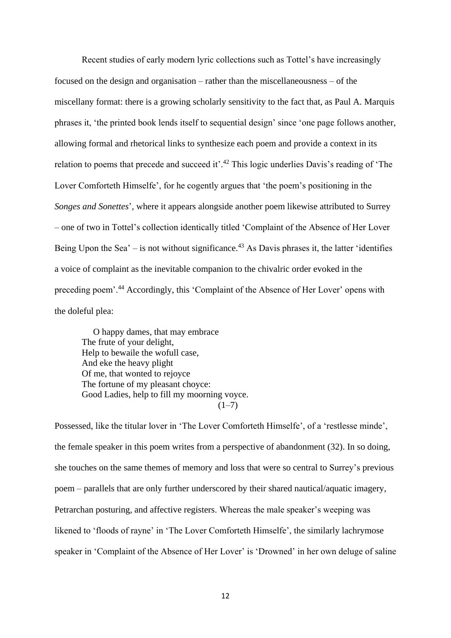Recent studies of early modern lyric collections such as Tottel's have increasingly focused on the design and organisation – rather than the miscellaneousness – of the miscellany format: there is a growing scholarly sensitivity to the fact that, as Paul A. Marquis phrases it, 'the printed book lends itself to sequential design' since 'one page follows another, allowing formal and rhetorical links to synthesize each poem and provide a context in its relation to poems that precede and succeed it'.<sup>42</sup> This logic underlies Davis's reading of 'The Lover Comforteth Himselfe', for he cogently argues that 'the poem's positioning in the *Songes and Sonettes*'*,* where it appears alongside another poem likewise attributed to Surrey – one of two in Tottel's collection identically titled 'Complaint of the Absence of Her Lover Being Upon the Sea' – is not without significance.<sup>43</sup> As Davis phrases it, the latter 'identifies a voice of complaint as the inevitable companion to the chivalric order evoked in the preceding poem'.<sup>44</sup> Accordingly, this 'Complaint of the Absence of Her Lover' opens with the doleful plea:

 O happy dames, that may embrace The frute of your delight, Help to bewaile the wofull case, And eke the heavy plight Of me, that wonted to rejoyce The fortune of my pleasant choyce: Good Ladies, help to fill my moorning voyce.  $(1-7)$ 

Possessed, like the titular lover in 'The Lover Comforteth Himselfe', of a 'restlesse minde', the female speaker in this poem writes from a perspective of abandonment (32). In so doing, she touches on the same themes of memory and loss that were so central to Surrey's previous poem – parallels that are only further underscored by their shared nautical/aquatic imagery, Petrarchan posturing, and affective registers. Whereas the male speaker's weeping was likened to 'floods of rayne' in 'The Lover Comforteth Himselfe', the similarly lachrymose speaker in 'Complaint of the Absence of Her Lover' is 'Drowned' in her own deluge of saline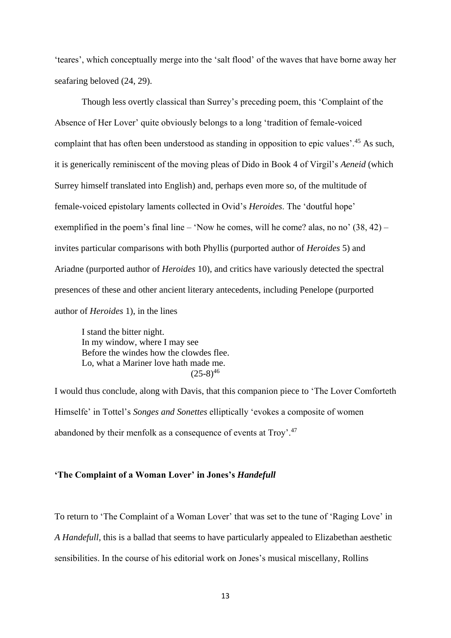'teares', which conceptually merge into the 'salt flood' of the waves that have borne away her seafaring beloved (24, 29).

Though less overtly classical than Surrey's preceding poem, this 'Complaint of the Absence of Her Lover' quite obviously belongs to a long 'tradition of female-voiced complaint that has often been understood as standing in opposition to epic values'.<sup>45</sup> As such, it is generically reminiscent of the moving pleas of Dido in Book 4 of Virgil's *Aeneid* (which Surrey himself translated into English) and, perhaps even more so, of the multitude of female-voiced epistolary laments collected in Ovid's *Heroides*. The 'doutful hope' exemplified in the poem's final line – 'Now he comes, will he come? alas, no no'  $(38, 42)$  – invites particular comparisons with both Phyllis (purported author of *Heroides* 5) and Ariadne (purported author of *Heroides* 10), and critics have variously detected the spectral presences of these and other ancient literary antecedents, including Penelope (purported author of *Heroides* 1), in the lines

I stand the bitter night. In my window, where I may see Before the windes how the clowdes flee. Lo, what a Mariner love hath made me.  $(25-8)^{46}$ 

I would thus conclude, along with Davis, that this companion piece to 'The Lover Comforteth Himselfe' in Tottel's *Songes and Sonettes* elliptically 'evokes a composite of women abandoned by their menfolk as a consequence of events at Troy'.<sup>47</sup>

#### **'The Complaint of a Woman Lover' in Jones's** *Handefull*

To return to 'The Complaint of a Woman Lover' that was set to the tune of 'Raging Love' in *A Handefull*, this is a ballad that seems to have particularly appealed to Elizabethan aesthetic sensibilities. In the course of his editorial work on Jones's musical miscellany, Rollins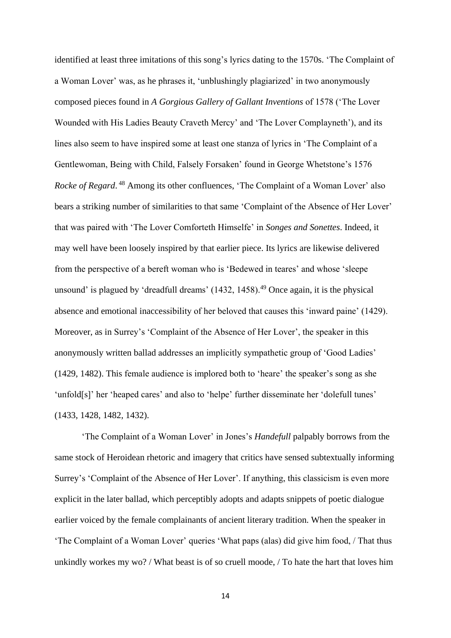identified at least three imitations of this song's lyrics dating to the 1570s. 'The Complaint of a Woman Lover' was, as he phrases it, 'unblushingly plagiarized' in two anonymously composed pieces found in *A Gorgious Gallery of Gallant Inventions* of 1578 ('The Lover Wounded with His Ladies Beauty Craveth Mercy' and 'The Lover Complayneth'), and its lines also seem to have inspired some at least one stanza of lyrics in 'The Complaint of a Gentlewoman, Being with Child, Falsely Forsaken' found in George Whetstone's 1576 *Rocke of Regard*. <sup>48</sup> Among its other confluences, 'The Complaint of a Woman Lover' also bears a striking number of similarities to that same 'Complaint of the Absence of Her Lover' that was paired with 'The Lover Comforteth Himselfe' in *Songes and Sonettes*. Indeed, it may well have been loosely inspired by that earlier piece. Its lyrics are likewise delivered from the perspective of a bereft woman who is 'Bedewed in teares' and whose 'sleepe unsound' is plagued by 'dreadfull dreams'  $(1432, 1458)$ .<sup>49</sup> Once again, it is the physical absence and emotional inaccessibility of her beloved that causes this 'inward paine' (1429). Moreover, as in Surrey's 'Complaint of the Absence of Her Lover', the speaker in this anonymously written ballad addresses an implicitly sympathetic group of 'Good Ladies' (1429, 1482). This female audience is implored both to 'heare' the speaker's song as she 'unfold[s]' her 'heaped cares' and also to 'helpe' further disseminate her 'dolefull tunes' (1433, 1428, 1482, 1432).

'The Complaint of a Woman Lover' in Jones's *Handefull* palpably borrows from the same stock of Heroidean rhetoric and imagery that critics have sensed subtextually informing Surrey's 'Complaint of the Absence of Her Lover'. If anything, this classicism is even more explicit in the later ballad, which perceptibly adopts and adapts snippets of poetic dialogue earlier voiced by the female complainants of ancient literary tradition. When the speaker in 'The Complaint of a Woman Lover' queries 'What paps (alas) did give him food, / That thus unkindly workes my wo? / What beast is of so cruell moode, / To hate the hart that loves him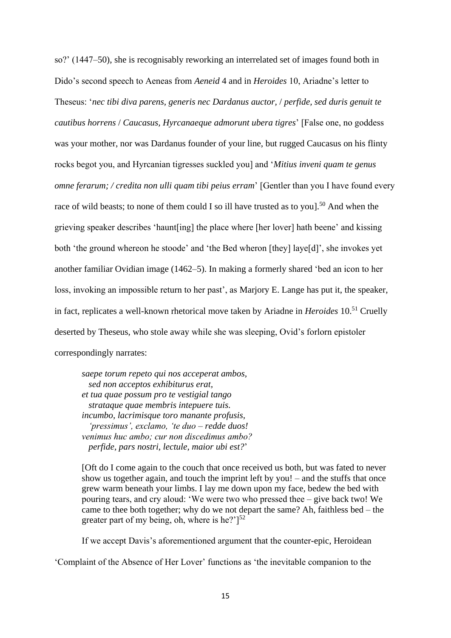so?' (1447–50), she is recognisably reworking an interrelated set of images found both in Dido's second speech to Aeneas from *Aeneid* 4 and in *Heroides* 10, Ariadne's letter to Theseus: '*nec tibi diva parens, generis nec Dardanus auctor,* / *perfide, sed duris genuit te cautibus horrens* / *Caucasus, Hyrcanaeque admorunt ubera tigres*' [False one, no goddess was your mother, nor was Dardanus founder of your line, but rugged Caucasus on his flinty rocks begot you, and Hyrcanian tigresses suckled you] and '*Mitius inveni quam te genus omne ferarum; / credita non ulli quam tibi peius erram*' [Gentler than you I have found every race of wild beasts; to none of them could I so ill have trusted as to youl.<sup>50</sup> And when the grieving speaker describes 'haunt[ing] the place where [her lover] hath beene' and kissing both 'the ground whereon he stoode' and 'the Bed wheron [they] laye[d]', she invokes yet another familiar Ovidian image (1462–5). In making a formerly shared 'bed an icon to her loss, invoking an impossible return to her past', as Marjory E. Lange has put it, the speaker, in fact, replicates a well-known rhetorical move taken by Ariadne in *Heroides* 10.<sup>51</sup> Cruelly deserted by Theseus, who stole away while she was sleeping, Ovid's forlorn epistoler correspondingly narrates:

*saepe torum repeto qui nos acceperat ambos, sed non acceptos exhibiturus erat, et tua quae possum pro te vestigial tango strataque quae membris intepuere tuis. incumbo, lacrimisque toro manante profusis, 'pressimus', exclamo, 'te duo – redde duos! venimus huc ambo; cur non discedimus ambo? perfide, pars nostri, lectule, maior ubi est?*'

[Oft do I come again to the couch that once received us both, but was fated to never show us together again, and touch the imprint left by you! – and the stuffs that once grew warm beneath your limbs. I lay me down upon my face, bedew the bed with pouring tears, and cry aloud: 'We were two who pressed thee – give back two! We came to thee both together; why do we not depart the same? Ah, faithless bed – the greater part of my being, oh, where is he?' $]^{52}$ 

If we accept Davis's aforementioned argument that the counter-epic, Heroidean

'Complaint of the Absence of Her Lover' functions as 'the inevitable companion to the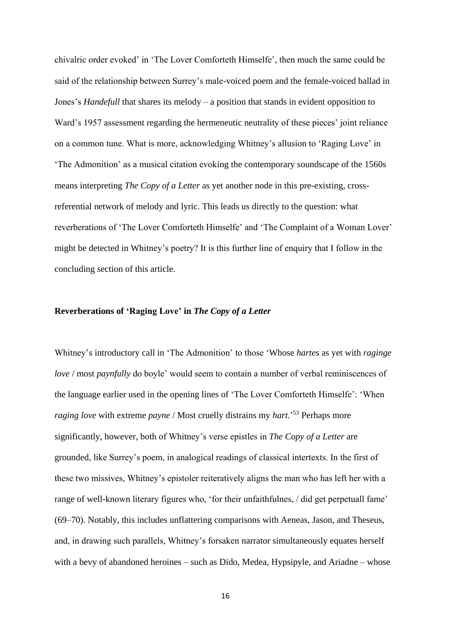chivalric order evoked' in 'The Lover Comforteth Himselfe', then much the same could be said of the relationship between Surrey's male-voiced poem and the female-voiced ballad in Jones's *Handefull* that shares its melody – a position that stands in evident opposition to Ward's 1957 assessment regarding the hermeneutic neutrality of these pieces' joint reliance on a common tune. What is more, acknowledging Whitney's allusion to 'Raging Love' in 'The Admonition' as a musical citation evoking the contemporary soundscape of the 1560s means interpreting *The Copy of a Letter* as yet another node in this pre-existing, crossreferential network of melody and lyric. This leads us directly to the question: what reverberations of 'The Lover Comforteth Himselfe' and 'The Complaint of a Woman Lover' might be detected in Whitney's poetry? It is this further line of enquiry that I follow in the concluding section of this article.

# **Reverberations of 'Raging Love' in** *The Copy of a Letter*

Whitney's introductory call in 'The Admonition' to those 'Whose *hartes* as yet with *raginge love* / most *paynfully* do boyle' would seem to contain a number of verbal reminiscences of the language earlier used in the opening lines of 'The Lover Comforteth Himselfe': 'When *raging love* with extreme *payne* / Most cruelly distrains my *hart.*' <sup>53</sup> Perhaps more significantly, however, both of Whitney's verse epistles in *The Copy of a Letter* are grounded, like Surrey's poem, in analogical readings of classical intertexts. In the first of these two missives, Whitney's epistoler reiteratively aligns the man who has left her with a range of well-known literary figures who, 'for their unfaithfulnes, / did get perpetuall fame' (69–70). Notably, this includes unflattering comparisons with Aeneas, Jason, and Theseus, and, in drawing such parallels, Whitney's forsaken narrator simultaneously equates herself with a bevy of abandoned heroines – such as Dido, Medea, Hypsipyle, and Ariadne – whose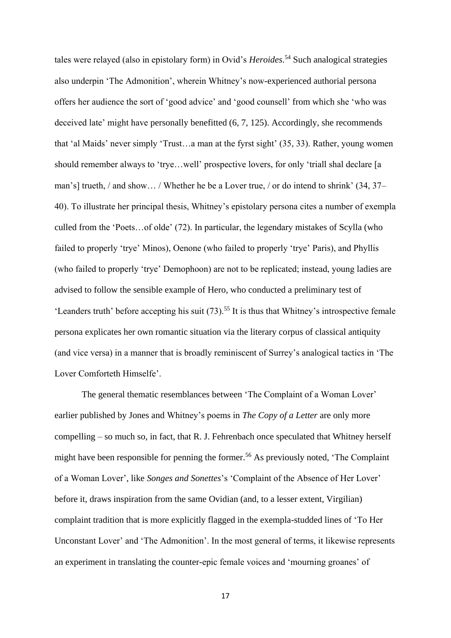tales were relayed (also in epistolary form) in Ovid's *Heroides*. <sup>54</sup> Such analogical strategies also underpin 'The Admonition', wherein Whitney's now-experienced authorial persona offers her audience the sort of 'good advice' and 'good counsell' from which she 'who was deceived late' might have personally benefitted (6, 7, 125). Accordingly, she recommends that 'al Maids' never simply 'Trust…a man at the fyrst sight' (35, 33). Rather, young women should remember always to 'trye…well' prospective lovers, for only 'triall shal declare [a man's] trueth, / and show… / Whether he be a Lover true, / or do intend to shrink' (34, 37– 40). To illustrate her principal thesis, Whitney's epistolary persona cites a number of exempla culled from the 'Poets…of olde' (72). In particular, the legendary mistakes of Scylla (who failed to properly 'trye' Minos), Oenone (who failed to properly 'trye' Paris), and Phyllis (who failed to properly 'trye' Demophoon) are not to be replicated; instead, young ladies are advised to follow the sensible example of Hero, who conducted a preliminary test of 'Leanders truth' before accepting his suit  $(73)$ <sup>55</sup>. It is thus that Whitney's introspective female persona explicates her own romantic situation via the literary corpus of classical antiquity (and vice versa) in a manner that is broadly reminiscent of Surrey's analogical tactics in 'The Lover Comforteth Himselfe'.

The general thematic resemblances between 'The Complaint of a Woman Lover' earlier published by Jones and Whitney's poems in *The Copy of a Letter* are only more compelling – so much so, in fact, that R. J. Fehrenbach once speculated that Whitney herself might have been responsible for penning the former.<sup>56</sup> As previously noted, 'The Complaint of a Woman Lover', like *Songes and Sonettes*'s 'Complaint of the Absence of Her Lover' before it, draws inspiration from the same Ovidian (and, to a lesser extent, Virgilian) complaint tradition that is more explicitly flagged in the exempla-studded lines of 'To Her Unconstant Lover' and 'The Admonition'. In the most general of terms, it likewise represents an experiment in translating the counter-epic female voices and 'mourning groanes' of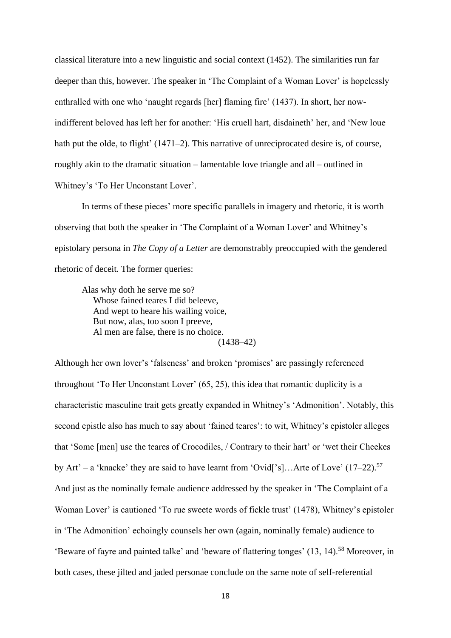classical literature into a new linguistic and social context (1452). The similarities run far deeper than this, however. The speaker in 'The Complaint of a Woman Lover' is hopelessly enthralled with one who 'naught regards [her] flaming fire' (1437). In short, her nowindifferent beloved has left her for another: 'His cruell hart, disdaineth' her, and 'New loue hath put the olde, to flight' (1471–2). This narrative of unreciprocated desire is, of course, roughly akin to the dramatic situation – lamentable love triangle and all – outlined in Whitney's 'To Her Unconstant Lover'.

In terms of these pieces' more specific parallels in imagery and rhetoric, it is worth observing that both the speaker in 'The Complaint of a Woman Lover' and Whitney's epistolary persona in *The Copy of a Letter* are demonstrably preoccupied with the gendered rhetoric of deceit. The former queries:

Alas why doth he serve me so? Whose fained teares I did beleeve, And wept to heare his wailing voice, But now, alas, too soon I preeve, Al men are false, there is no choice. (1438–42)

Although her own lover's 'falseness' and broken 'promises' are passingly referenced throughout 'To Her Unconstant Lover' (65, 25), this idea that romantic duplicity is a characteristic masculine trait gets greatly expanded in Whitney's 'Admonition'. Notably, this second epistle also has much to say about 'fained teares': to wit, Whitney's epistoler alleges that 'Some [men] use the teares of Crocodiles, / Contrary to their hart' or 'wet their Cheekes by Art' – a 'knacke' they are said to have learnt from 'Ovid['s]...Arte of Love'  $(17-22)$ .<sup>57</sup> And just as the nominally female audience addressed by the speaker in 'The Complaint of a Woman Lover' is cautioned 'To rue sweete words of fickle trust' (1478), Whitney's epistoler in 'The Admonition' echoingly counsels her own (again, nominally female) audience to 'Beware of fayre and painted talke' and 'beware of flattering tonges' (13, 14).<sup>58</sup> Moreover, in both cases, these jilted and jaded personae conclude on the same note of self-referential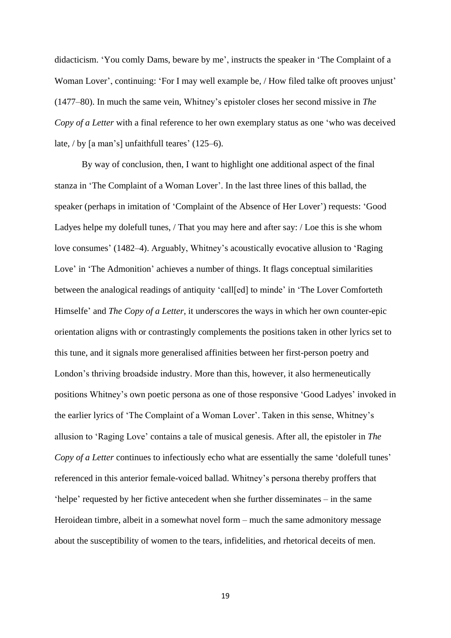didacticism. 'You comly Dams, beware by me', instructs the speaker in 'The Complaint of a Woman Lover', continuing: 'For I may well example be, / How filed talke oft prooves unjust' (1477–80). In much the same vein, Whitney's epistoler closes her second missive in *The Copy of a Letter* with a final reference to her own exemplary status as one 'who was deceived late, / by [a man's] unfaithfull teares' (125–6).

By way of conclusion, then, I want to highlight one additional aspect of the final stanza in 'The Complaint of a Woman Lover'. In the last three lines of this ballad, the speaker (perhaps in imitation of 'Complaint of the Absence of Her Lover') requests: 'Good Ladyes helpe my dolefull tunes, / That you may here and after say: / Loe this is she whom love consumes' (1482–4). Arguably, Whitney's acoustically evocative allusion to 'Raging Love' in 'The Admonition' achieves a number of things. It flags conceptual similarities between the analogical readings of antiquity 'call[ed] to minde' in 'The Lover Comforteth Himselfe' and *The Copy of a Letter*, it underscores the ways in which her own counter-epic orientation aligns with or contrastingly complements the positions taken in other lyrics set to this tune, and it signals more generalised affinities between her first-person poetry and London's thriving broadside industry. More than this, however, it also hermeneutically positions Whitney's own poetic persona as one of those responsive 'Good Ladyes' invoked in the earlier lyrics of 'The Complaint of a Woman Lover'. Taken in this sense, Whitney's allusion to 'Raging Love' contains a tale of musical genesis. After all, the epistoler in *The Copy of a Letter* continues to infectiously echo what are essentially the same 'dolefull tunes' referenced in this anterior female-voiced ballad. Whitney's persona thereby proffers that 'helpe' requested by her fictive antecedent when she further disseminates – in the same Heroidean timbre, albeit in a somewhat novel form – much the same admonitory message about the susceptibility of women to the tears, infidelities, and rhetorical deceits of men.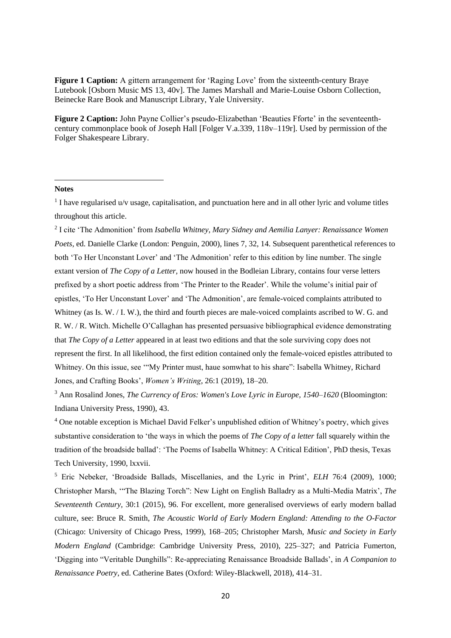**Figure 1 Caption:** A gittern arrangement for 'Raging Love' from the sixteenth-century Braye Lutebook [Osborn Music MS 13, 40v]. The James Marshall and Marie-Louise Osborn Collection, Beinecke Rare Book and Manuscript Library, Yale University.

**Figure 2 Caption:** John Payne Collier's pseudo-Elizabethan 'Beauties Fforte' in the seventeenthcentury commonplace book of Joseph Hall [Folger V.a.339, 118v–119r]. Used by permission of the Folger Shakespeare Library.

#### **Notes**

**.** 

<sup>1</sup> I have regularised u/v usage, capitalisation, and punctuation here and in all other lyric and volume titles throughout this article.

2 I cite 'The Admonition' from *Isabella Whitney, Mary Sidney and Aemilia Lanyer: Renaissance Women Poets*, ed. Danielle Clarke (London: Penguin, 2000), lines 7, 32, 14. Subsequent parenthetical references to both 'To Her Unconstant Lover' and 'The Admonition' refer to this edition by line number. The single extant version of *The Copy of a Letter,* now housed in the Bodleian Library, contains four verse letters prefixed by a short poetic address from 'The Printer to the Reader'. While the volume's initial pair of epistles, 'To Her Unconstant Lover' and 'The Admonition', are female-voiced complaints attributed to Whitney (as Is. W. / I. W.), the third and fourth pieces are male-voiced complaints ascribed to W. G. and R. W. / R. Witch. Michelle O'Callaghan has presented persuasive bibliographical evidence demonstrating that *The Copy of a Letter* appeared in at least two editions and that the sole surviving copy does not represent the first. In all likelihood, the first edition contained only the female-voiced epistles attributed to Whitney. On this issue, see '"My Printer must, haue somwhat to his share": Isabella Whitney, Richard Jones, and Crafting Books', *Women's Writing*, 26:1 (2019), 18–20.

<sup>3</sup> Ann Rosalind Jones, *The Currency of Eros: Women's Love Lyric in Europe, 1540–1620* (Bloomington: Indiana University Press, 1990), 43.

<sup>4</sup> One notable exception is Michael David Felker's unpublished edition of Whitney's poetry, which gives substantive consideration to 'the ways in which the poems of *The Copy of a letter* fall squarely within the tradition of the broadside ballad': 'The Poems of Isabella Whitney: A Critical Edition', PhD thesis, Texas Tech University, 1990, lxxvii.

<sup>5</sup> Eric Nebeker, 'Broadside Ballads, Miscellanies, and the Lyric in Print', *ELH* 76:4 (2009), 1000; Christopher Marsh, '"The Blazing Torch": New Light on English Balladry as a Multi-Media Matrix', *The Seventeenth Century,* 30:1 (2015), 96. For excellent, more generalised overviews of early modern ballad culture, see: Bruce R. Smith, *The Acoustic World of Early Modern England: Attending to the O-Factor* (Chicago: University of Chicago Press, 1999), 168–205; Christopher Marsh, *Music and Society in Early Modern England* (Cambridge: Cambridge University Press, 2010), 225–327; and Patricia Fumerton, 'Digging into "Veritable Dunghills": Re-appreciating Renaissance Broadside Ballads', in *A Companion to Renaissance Poetry*, ed. Catherine Bates (Oxford: Wiley-Blackwell, 2018), 414–31.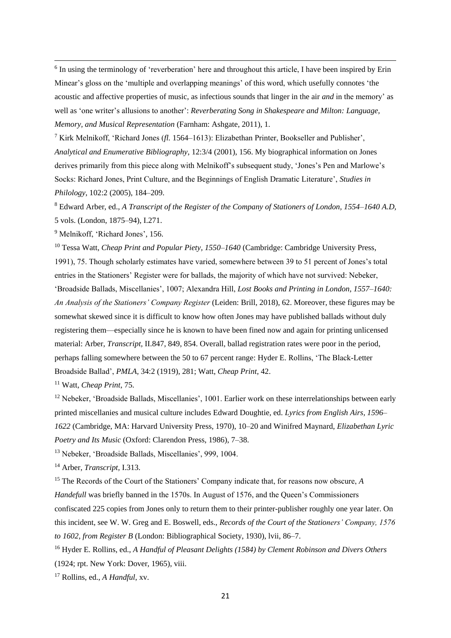<sup>6</sup> In using the terminology of 'reverberation' here and throughout this article, I have been inspired by Erin Minear's gloss on the 'multiple and overlapping meanings' of this word, which usefully connotes 'the acoustic and affective properties of music, as infectious sounds that linger in the air *and* in the memory' as well as 'one writer's allusions to another': *Reverberating Song in Shakespeare and Milton: Language, Memory, and Musical Representation* (Farnham: Ashgate, 2011), 1.

<sup>7</sup> Kirk Melnikoff, 'Richard Jones (*fl.* 1564–1613): Elizabethan Printer, Bookseller and Publisher', *Analytical and Enumerative Bibliography*, 12:3/4 (2001), 156. My biographical information on Jones derives primarily from this piece along with Melnikoff's subsequent study, 'Jones's Pen and Marlowe's Socks: Richard Jones, Print Culture, and the Beginnings of English Dramatic Literature', *Studies in Philology*, 102:2 (2005), 184–209.

<sup>8</sup> Edward Arber, ed., *A Transcript of the Register of the Company of Stationers of London, 1554–1640 A.D,*  5 vols. (London, 1875–94), I.271.

<sup>9</sup> Melnikoff, 'Richard Jones', 156.

**.** 

<sup>10</sup> Tessa Watt, *Cheap Print and Popular Piety, 1550–1640* (Cambridge: Cambridge University Press, 1991), 75. Though scholarly estimates have varied, somewhere between 39 to 51 percent of Jones's total entries in the Stationers' Register were for ballads, the majority of which have not survived: Nebeker, 'Broadside Ballads, Miscellanies', 1007; Alexandra Hill, *Lost Books and Printing in London, 1557–1640: An Analysis of the Stationers' Company Register* (Leiden: Brill, 2018), 62. Moreover, these figures may be somewhat skewed since it is difficult to know how often Jones may have published ballads without duly registering them—especially since he is known to have been fined now and again for printing unlicensed material: Arber, *Transcript,* II.847, 849, 854. Overall, ballad registration rates were poor in the period, perhaps falling somewhere between the 50 to 67 percent range: Hyder E. Rollins, 'The Black-Letter Broadside Ballad', *PMLA,* 34:2 (1919), 281; Watt, *Cheap Print*, 42.

<sup>11</sup> Watt, *Cheap Print*, 75.

<sup>12</sup> Nebeker, 'Broadside Ballads, Miscellanies', 1001. Earlier work on these interrelationships between early printed miscellanies and musical culture includes Edward Doughtie, ed. *Lyrics from English Airs, 1596– 1622* (Cambridge, MA: Harvard University Press, 1970), 10–20 and Winifred Maynard, *Elizabethan Lyric Poetry and Its Music* (Oxford: Clarendon Press, 1986), 7–38.

<sup>13</sup> Nebeker, 'Broadside Ballads, Miscellanies', 999, 1004.

<sup>14</sup> Arber, *Transcript,* I.313.

<sup>15</sup> The Records of the Court of the Stationers' Company indicate that, for reasons now obscure, *A Handefull* was briefly banned in the 1570s. In August of 1576, and the Queen's Commissioners confiscated 225 copies from Jones only to return them to their printer-publisher roughly one year later. On this incident, see W. W. Greg and E. Boswell, eds., *Records of the Court of the Stationers' Company, 1576 to 1602, from Register B* (London: Bibliographical Society, 1930), lvii, 86–7.

<sup>16</sup> Hyder E. Rollins, ed., *A Handful of Pleasant Delights (1584) by Clement Robinson and Divers Others* (1924; rpt. New York: Dover, 1965), viii.

<sup>17</sup> Rollins, ed., *A Handful*, xv.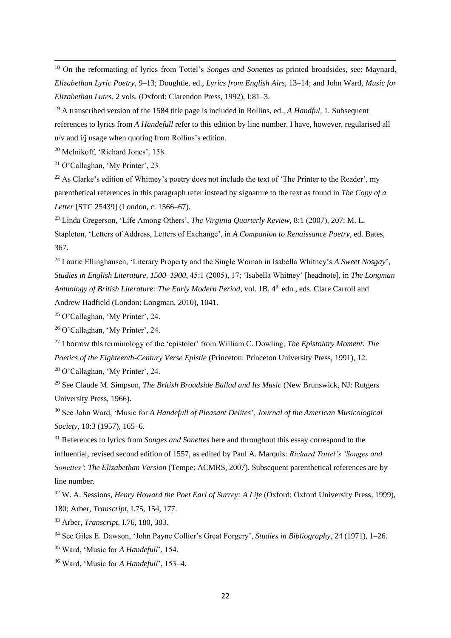<sup>18</sup> On the reformatting of lyrics from Tottel's *Songes and Sonettes* as printed broadsides, see: Maynard, *Elizabethan Lyric Poetry*, 9–13; Doughtie, ed., *Lyrics from English Airs*, 13–14; and John Ward, *Music for Elizabethan Lutes*, 2 vols. (Oxford: Clarendon Press, 1992), I:81–3.

<sup>19</sup> A transcribed version of the 1584 title page is included in Rollins, ed., *A Handful*, 1. Subsequent references to lyrics from *A Handefull* refer to this edition by line number. I have, however, regularised all u/v and i/j usage when quoting from Rollins's edition.

<sup>20</sup> Melnikoff, 'Richard Jones', 158.

<sup>21</sup> O'Callaghan, 'My Printer', 23

**.** 

 $^{22}$  As Clarke's edition of Whitney's poetry does not include the text of 'The Printer to the Reader', my parenthetical references in this paragraph refer instead by signature to the text as found in *The Copy of a Letter* [STC 25439] (London, c. 1566–67).

<sup>23</sup> Linda Gregerson, 'Life Among Others', *The Virginia Quarterly Review,* 8:1 (2007), 207; M. L. Stapleton, 'Letters of Address, Letters of Exchange', in *A Companion to Renaissance Poetry*, ed. Bates, 367.

<sup>24</sup> Laurie Ellinghausen, 'Literary Property and the Single Woman in Isabella Whitney's *A Sweet Nosgay*', *Studies in English Literature, 1500–1900*, 45:1 (2005), 17; 'Isabella Whitney' [headnote], in *The Longman Anthology of British Literature: The Early Modern Period, vol. 1B, 4<sup>th</sup> edn., eds. Clare Carroll and* Andrew Hadfield (London: Longman, 2010), 1041.

<sup>25</sup> O'Callaghan, 'My Printer', 24.

<sup>26</sup> O'Callaghan, 'My Printer', 24.

<sup>27</sup> I borrow this terminology of the 'epistoler' from William C. Dowling, *The Epistolary Moment: The Poetics of the Eighteenth-Century Verse Epistle* (Princeton: Princeton University Press, 1991), 12. <sup>28</sup> O'Callaghan, 'My Printer', 24.

<sup>29</sup> See Claude M. Simpson, *The British Broadside Ballad and Its Music* (New Brunswick, NJ: Rutgers University Press, 1966).

<sup>30</sup> See John Ward, 'Music for *A Handefull of Pleasant Delites*', *Journal of the American Musicological Society*, 10:3 (1957), 165–6.

<sup>31</sup> References to lyrics from *Songes and Sonettes* here and throughout this essay correspond to the influential, revised second edition of 1557, as edited by Paul A. Marquis: *Richard Tottel's 'Songes and Sonettes'*: *The Elizabethan Version* (Tempe: ACMRS, 2007). Subsequent parenthetical references are by line number.

<sup>32</sup> W. A. Sessions, *Henry Howard the Poet Earl of Surrey: A Life* (Oxford: Oxford University Press, 1999), 180; Arber, *Transcript*, I.75, 154, 177.

<sup>33</sup> Arber, *Transcript*, I.76, 180, 383.

<sup>35</sup> Ward, 'Music for *A Handefull*', 154.

<sup>36</sup> Ward, 'Music for *A Handefull*', 153–4.

<sup>34</sup> See Giles E. Dawson, 'John Payne Collier's Great Forgery', *Studies in Bibliography*, 24 (1971), 1–26.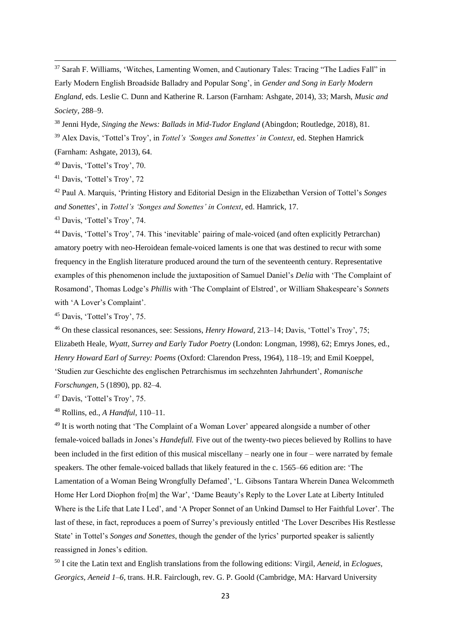<sup>37</sup> Sarah F. Williams, 'Witches, Lamenting Women, and Cautionary Tales: Tracing "The Ladies Fall" in Early Modern English Broadside Balladry and Popular Song', in *Gender and Song in Early Modern England*, eds. Leslie C. Dunn and Katherine R. Larson (Farnham: Ashgate, 2014), 33; Marsh, *Music and Society*, 288–9.

<sup>38</sup> Jenni Hyde, *Singing the News: Ballads in Mid-Tudor England* (Abingdon; Routledge, 2018), 81.

<sup>39</sup> Alex Davis, 'Tottel's Troy', in *Tottel's 'Songes and Sonettes' in Context*, ed. Stephen Hamrick (Farnham: Ashgate, 2013), 64.

<sup>40</sup> Davis, 'Tottel's Troy', 70.

**.** 

<sup>41</sup> Davis, 'Tottel's Troy', 72

<sup>42</sup> Paul A. Marquis, 'Printing History and Editorial Design in the Elizabethan Version of Tottel's *Songes and Sonettes*', in *Tottel's 'Songes and Sonettes' in Context*, ed. Hamrick, 17.

<sup>43</sup> Davis, 'Tottel's Troy', 74.

<sup>44</sup> Davis, 'Tottel's Troy', 74. This 'inevitable' pairing of male-voiced (and often explicitly Petrarchan) amatory poetry with neo-Heroidean female-voiced laments is one that was destined to recur with some frequency in the English literature produced around the turn of the seventeenth century. Representative examples of this phenomenon include the juxtaposition of Samuel Daniel's *Delia* with 'The Complaint of Rosamond', Thomas Lodge's *Phillis* with 'The Complaint of Elstred', or William Shakespeare's *Sonnets* with 'A Lover's Complaint'.

<sup>45</sup> Davis, 'Tottel's Troy', 75.

<sup>46</sup> On these classical resonances, see: Sessions, *Henry Howard*, 213–14; Davis, 'Tottel's Troy', 75; Elizabeth Heale, *Wyatt, Surrey and Early Tudor Poetry* (London: Longman, 1998), 62; Emrys Jones, ed., *Henry Howard Earl of Surrey: Poems* (Oxford: Clarendon Press, 1964), 118–19; and Emil Koeppel, 'Studien zur Geschichte des englischen Petrarchismus im sechzehnten Jahrhundert', *Romanische Forschungen*, 5 (1890), pp. 82–4.

<sup>47</sup> Davis, 'Tottel's Troy', 75.

<sup>48</sup> Rollins, ed., *A Handful*, 110–11.

<sup>49</sup> It is worth noting that 'The Complaint of a Woman Lover' appeared alongside a number of other female-voiced ballads in Jones's *Handefull.* Five out of the twenty-two pieces believed by Rollins to have been included in the first edition of this musical miscellany – nearly one in four – were narrated by female speakers. The other female-voiced ballads that likely featured in the c. 1565–66 edition are: 'The Lamentation of a Woman Being Wrongfully Defamed', 'L. Gibsons Tantara Wherein Danea Welcommeth Home Her Lord Diophon fro[m] the War', 'Dame Beauty's Reply to the Lover Late at Liberty Intituled Where is the Life that Late I Led', and 'A Proper Sonnet of an Unkind Damsel to Her Faithful Lover'. The last of these, in fact, reproduces a poem of Surrey's previously entitled 'The Lover Describes His Restlesse State' in Tottel's *Songes and Sonettes*, though the gender of the lyrics' purported speaker is saliently reassigned in Jones's edition.

<sup>50</sup> I cite the Latin text and English translations from the following editions: Virgil, *Aeneid*, in *Eclogues, Georgics, Aeneid 1–6*, trans. H.R. Fairclough, rev. G. P. Goold (Cambridge, MA: Harvard University